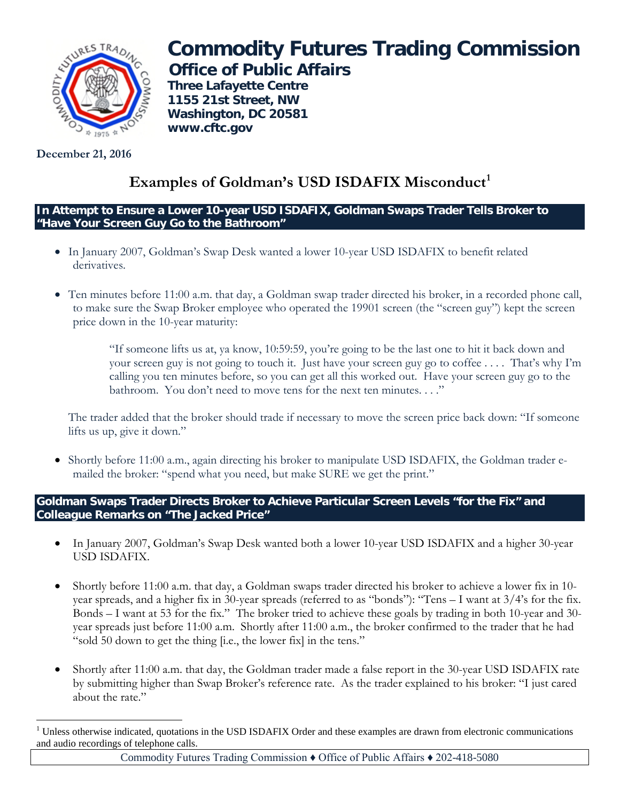

**December 21, 2016**

# **Commodity Futures Trading Commission Office of Public Affairs**

**Three Lafayette Centre 1155 21st Street, NW Washington, DC 20581 www.cftc.gov**

# Examples of Goldman's USD ISDAFIX Misconduct<sup>[1](#page-0-0)</sup>

**In Attempt to Ensure a Lower 10-year USD ISDAFIX, Goldman Swaps Trader Tells Broker to "Have Your Screen Guy Go to the Bathroom"**

- In January 2007, Goldman's Swap Desk wanted a lower 10-year USD ISDAFIX to benefit related derivatives.
- Ten minutes before 11:00 a.m. that day, a Goldman swap trader directed his broker, in a recorded phone call, to make sure the Swap Broker employee who operated the 19901 screen (the "screen guy") kept the screen price down in the 10-year maturity:

"If someone lifts us at, ya know, 10:59:59, you're going to be the last one to hit it back down and your screen guy is not going to touch it. Just have your screen guy go to coffee . . . . That's why I'm calling you ten minutes before, so you can get all this worked out. Have your screen guy go to the bathroom. You don't need to move tens for the next ten minutes. . . ."

The trader added that the broker should trade if necessary to move the screen price back down: "If someone lifts us up, give it down."

• Shortly before 11:00 a.m., again directing his broker to manipulate USD ISDAFIX, the Goldman trader emailed the broker: "spend what you need, but make SURE we get the print."

**Goldman Swaps Trader Directs Broker to Achieve Particular Screen Levels "for the Fix" and Colleague Remarks on "The Jacked Price"**

- In January 2007, Goldman's Swap Desk wanted both a lower 10-year USD ISDAFIX and a higher 30-year USD ISDAFIX.
- Shortly before 11:00 a.m. that day, a Goldman swaps trader directed his broker to achieve a lower fix in 10 year spreads, and a higher fix in 30-year spreads (referred to as "bonds"): "Tens – I want at 3/4's for the fix. Bonds – I want at 53 for the fix." The broker tried to achieve these goals by trading in both 10-year and 30 year spreads just before 11:00 a.m. Shortly after 11:00 a.m., the broker confirmed to the trader that he had "sold 50 down to get the thing [i.e., the lower fix] in the tens."
- Shortly after 11:00 a.m. that day, the Goldman trader made a false report in the 30-year USD ISDAFIX rate by submitting higher than Swap Broker's reference rate. As the trader explained to his broker: "I just cared about the rate."

<span id="page-0-0"></span> $\overline{a}$  $1$  Unless otherwise indicated, quotations in the USD ISDAFIX Order and these examples are drawn from electronic communications and audio recordings of telephone calls.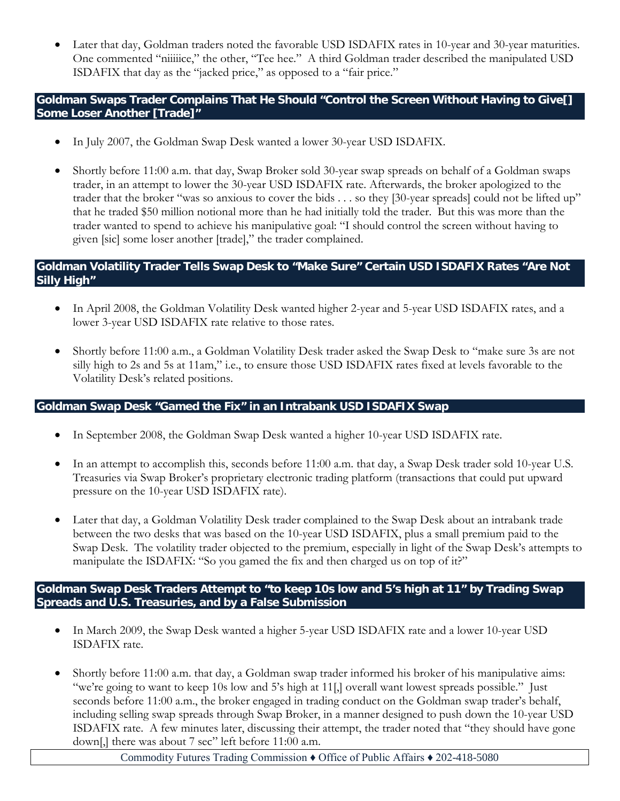• Later that day, Goldman traders noted the favorable USD ISDAFIX rates in 10-year and 30-year maturities. One commented "niiiice," the other, "Tee hee." A third Goldman trader described the manipulated USD ISDAFIX that day as the "jacked price," as opposed to a "fair price."

## **Goldman Swaps Trader Complains That He Should "Control the Screen Without Having to Give[] Some Loser Another [Trade]"**

- In July 2007, the Goldman Swap Desk wanted a lower 30-year USD ISDAFIX.
- Shortly before 11:00 a.m. that day, Swap Broker sold 30-year swap spreads on behalf of a Goldman swaps trader, in an attempt to lower the 30-year USD ISDAFIX rate. Afterwards, the broker apologized to the trader that the broker "was so anxious to cover the bids . . . so they [30-year spreads] could not be lifted up" that he traded \$50 million notional more than he had initially told the trader. But this was more than the trader wanted to spend to achieve his manipulative goal: "I should control the screen without having to given [sic] some loser another [trade]," the trader complained. •

# **Goldman Volatility Trader Tells Swap Desk to "Make Sure" Certain USD ISDAFIX Rates "Are Not Silly High"**

- In April 2008, the Goldman Volatility Desk wanted higher 2-year and 5-year USD ISDAFIX rates, and a lower 3-year USD ISDAFIX rate relative to those rates.
- Shortly before 11:00 a.m., a Goldman Volatility Desk trader asked the Swap Desk to "make sure 3s are not silly high to 2s and 5s at 11am," i.e., to ensure those USD ISDAFIX rates fixed at levels favorable to the Volatility Desk's related positions.

# **Goldman Swap Desk "Gamed the Fix" in an Intrabank USD ISDAFIX Swap**

- In September 2008, the Goldman Swap Desk wanted a higher 10-year USD ISDAFIX rate.
- In an attempt to accomplish this, seconds before 11:00 a.m. that day, a Swap Desk trader sold 10-year U.S. Treasuries via Swap Broker's proprietary electronic trading platform (transactions that could put upward pressure on the 10-year USD ISDAFIX rate).
- Later that day, a Goldman Volatility Desk trader complained to the Swap Desk about an intrabank trade between the two desks that was based on the 10-year USD ISDAFIX, plus a small premium paid to the Swap Desk. The volatility trader objected to the premium, especially in light of the Swap Desk's attempts to manipulate the ISDAFIX: "So you gamed the fix and then charged us on top of it?"

## **Goldman Swap Desk Traders Attempt to "to keep 10s low and 5's high at 11" by Trading Swap Spreads and U.S. Treasuries, and by a False Submission**

- In March 2009, the Swap Desk wanted a higher 5-year USD ISDAFIX rate and a lower 10-year USD ISDAFIX rate.
- Shortly before 11:00 a.m. that day, a Goldman swap trader informed his broker of his manipulative aims: "we're going to want to keep 10s low and 5's high at 11[,] overall want lowest spreads possible." Just seconds before 11:00 a.m., the broker engaged in trading conduct on the Goldman swap trader's behalf, including selling swap spreads through Swap Broker, in a manner designed to push down the 10-year USD ISDAFIX rate. A few minutes later, discussing their attempt, the trader noted that "they should have gone down[,] there was about 7 sec" left before 11:00 a.m.